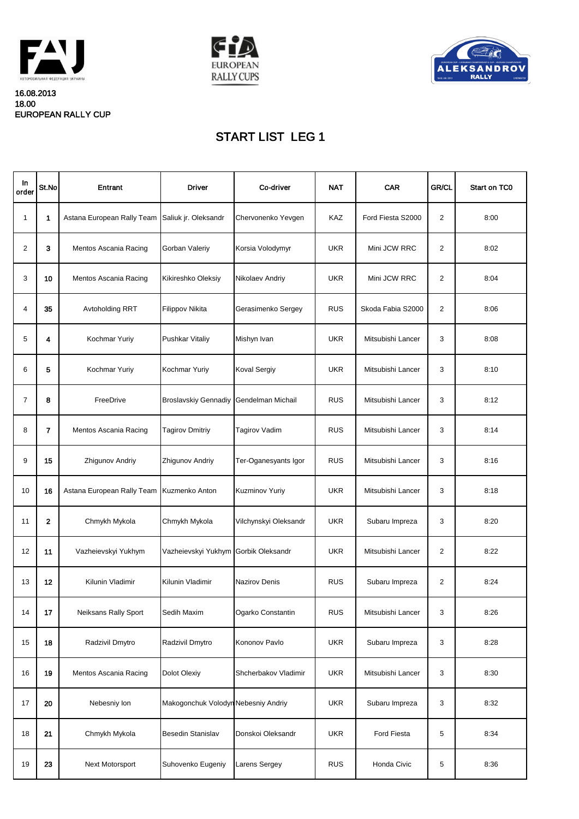| $\ln$<br>order  | St.No          | Entrant                                         | <b>Driver</b>                          | Co-driver             | <b>NAT</b> | <b>CAR</b>        | <b>GR/CL</b>   | <b>Start on TCO</b> |
|-----------------|----------------|-------------------------------------------------|----------------------------------------|-----------------------|------------|-------------------|----------------|---------------------|
|                 | $\mathbf 1$    | Astana European Rally Team Saliuk jr. Oleksandr |                                        | Chervonenko Yevgen    | <b>KAZ</b> | Ford Fiesta S2000 | $\overline{2}$ | 8:00                |
| $\overline{2}$  | 3              | <b>Mentos Ascania Racing</b>                    | <b>Gorban Valeriy</b>                  | Korsia Volodymyr      | <b>UKR</b> | Mini JCW RRC      | $\overline{2}$ | 8:02                |
| 3               | 10             | <b>Mentos Ascania Racing</b>                    | Kikireshko Oleksiy                     | Nikolaev Andriy       | <b>UKR</b> | Mini JCW RRC      | $\overline{2}$ | 8:04                |
| 4               | 35             | <b>Avtoholding RRT</b>                          | <b>Filippov Nikita</b>                 | Gerasimenko Sergey    | <b>RUS</b> | Skoda Fabia S2000 | $\overline{2}$ | 8:06                |
| 5               | 4              | Kochmar Yuriy                                   | Pushkar Vitaliy                        | Mishyn Ivan           | <b>UKR</b> | Mitsubishi Lancer | 3              | 8:08                |
| 6               | 5              | Kochmar Yuriy                                   | Kochmar Yuriy                          | <b>Koval Sergiy</b>   | <b>UKR</b> | Mitsubishi Lancer | 3              | 8:10                |
| 7               | 8              | FreeDrive                                       | Broslavskiy Gennadiy Gendelman Michail |                       | <b>RUS</b> | Mitsubishi Lancer | 3              | 8:12                |
| 8               | $\overline{7}$ | <b>Mentos Ascania Racing</b>                    | <b>Tagirov Dmitriy</b>                 | <b>Tagirov Vadim</b>  | <b>RUS</b> | Mitsubishi Lancer | $\mathfrak{B}$ | 8:14                |
| 9               | 15             | Zhigunov Andriy                                 | Zhigunov Andriy                        | Ter-Oganesyants Igor  | <b>RUS</b> | Mitsubishi Lancer | $\mathfrak{B}$ | 8:16                |
| 10              | 16             | Astana European Rally Team   Kuzmenko Anton     |                                        | Kuzminov Yuriy        | <b>UKR</b> | Mitsubishi Lancer | $\mathfrak{B}$ | 8:18                |
| 11              | $\mathbf{2}$   | Chmykh Mykola                                   | Chmykh Mykola                          | Vilchynskyi Oleksandr | <b>UKR</b> | Subaru Impreza    | $\mathfrak{S}$ | 8:20                |
| 12              | 11             | Vazheievskyi Yukhym                             | Vazheievskyi Yukhym Gorbik Oleksandr   |                       | <b>UKR</b> | Mitsubishi Lancer | $\overline{2}$ | 8:22                |
| 13              | 12             | Kilunin Vladimir                                | Kilunin Vladimir                       | Nazirov Denis         | <b>RUS</b> | Subaru Impreza    | $\overline{2}$ | 8:24                |
| 14              | 17             | <b>Neiksans Rally Sport</b>                     | <b>Sedih Maxim</b>                     | Ogarko Constantin     | <b>RUS</b> | Mitsubishi Lancer | 3              | 8:26                |
| 15              | 18             | Radzivil Dmytro                                 | Radzivil Dmytro                        | Kononov Pavlo         | <b>UKR</b> | Subaru Impreza    | $\mathfrak{S}$ | 8:28                |
| 16              | 19             | <b>Mentos Ascania Racing</b>                    | <b>Dolot Olexiy</b>                    | Shcherbakov Vladimir  | <b>UKR</b> | Mitsubishi Lancer | $\mathfrak{B}$ | 8:30                |
| 17 <sup>1</sup> | 20             | Nebesniy Ion                                    | Makogonchuk Volodyn Nebesniy Andriy    |                       | <b>UKR</b> | Subaru Impreza    | 3              | 8:32                |
| 18              | 21             | Chmykh Mykola                                   | <b>Besedin Stanislav</b>               | Donskoi Oleksandr     | <b>UKR</b> | Ford Fiesta       | 5              | 8:34                |
| 19              | 23             | Next Motorsport                                 | Suhovenko Eugeniy                      | Larens Sergey         | <b>RUS</b> | Honda Civic       | 5              | 8:36                |

## START LIST LEG 1



16.08.2013 18.00 EUROPEAN RALLY CUP